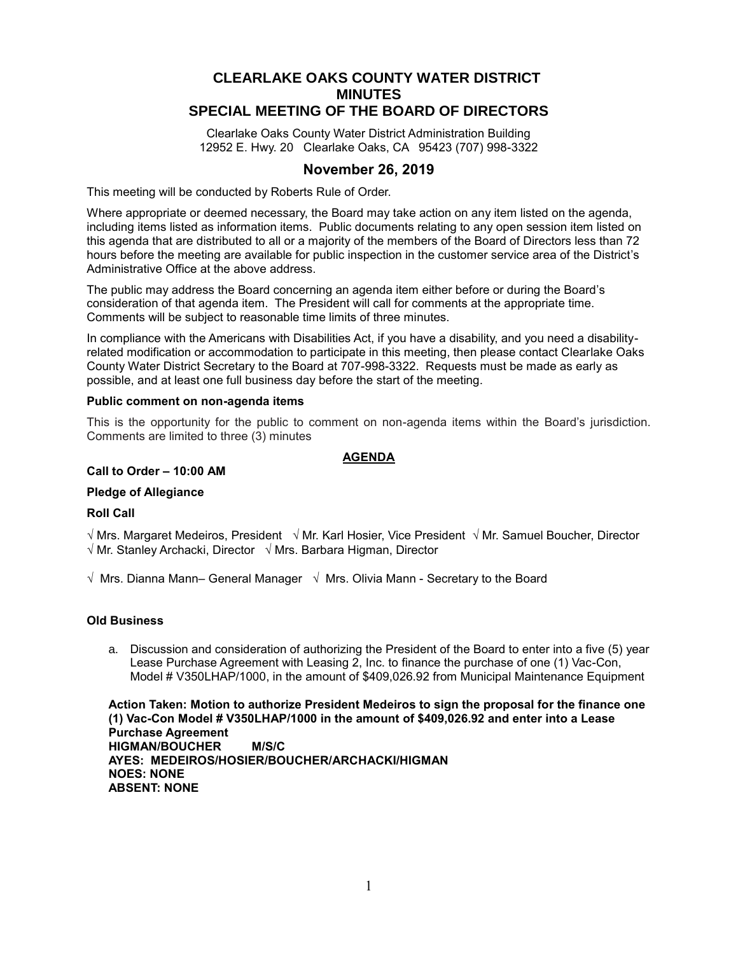# **CLEARLAKE OAKS COUNTY WATER DISTRICT MINUTES SPECIAL MEETING OF THE BOARD OF DIRECTORS**

Clearlake Oaks County Water District Administration Building 12952 E. Hwy. 20 Clearlake Oaks, CA 95423 (707) 998-3322

# **November 26, 2019**

This meeting will be conducted by Roberts Rule of Order.

Where appropriate or deemed necessary, the Board may take action on any item listed on the agenda, including items listed as information items. Public documents relating to any open session item listed on this agenda that are distributed to all or a majority of the members of the Board of Directors less than 72 hours before the meeting are available for public inspection in the customer service area of the District's Administrative Office at the above address.

The public may address the Board concerning an agenda item either before or during the Board's consideration of that agenda item. The President will call for comments at the appropriate time. Comments will be subject to reasonable time limits of three minutes.

In compliance with the Americans with Disabilities Act, if you have a disability, and you need a disabilityrelated modification or accommodation to participate in this meeting, then please contact Clearlake Oaks County Water District Secretary to the Board at 707-998-3322. Requests must be made as early as possible, and at least one full business day before the start of the meeting.

# **Public comment on non-agenda items**

This is the opportunity for the public to comment on non-agenda items within the Board's jurisdiction. Comments are limited to three (3) minutes

# **AGENDA**

#### **Call to Order – 10:00 AM**

# **Pledge of Allegiance**

# **Roll Call**

 $\sqrt{m}$ Mrs. Margaret Medeiros, President  $\sqrt{m}$ r. Karl Hosier, Vice President  $\sqrt{m}$ r. Samuel Boucher, Director  $\sqrt{Mr}$ . Stanley Archacki, Director  $\sqrt{Mrs}$ . Barbara Higman, Director

 $\sqrt{M}$  Mrs. Dianna Mann– General Manager  $\sqrt{M}$ rs. Olivia Mann - Secretary to the Board

# **Old Business**

a. Discussion and consideration of authorizing the President of the Board to enter into a five (5) year Lease Purchase Agreement with Leasing 2, Inc. to finance the purchase of one (1) Vac-Con, Model # V350LHAP/1000, in the amount of \$409,026.92 from Municipal Maintenance Equipment

**Action Taken: Motion to authorize President Medeiros to sign the proposal for the finance one (1) Vac-Con Model # V350LHAP/1000 in the amount of \$409,026.92 and enter into a Lease Purchase Agreement HIGMAN/BOUCHER M/S/C AYES: MEDEIROS/HOSIER/BOUCHER/ARCHACKI/HIGMAN NOES: NONE ABSENT: NONE**